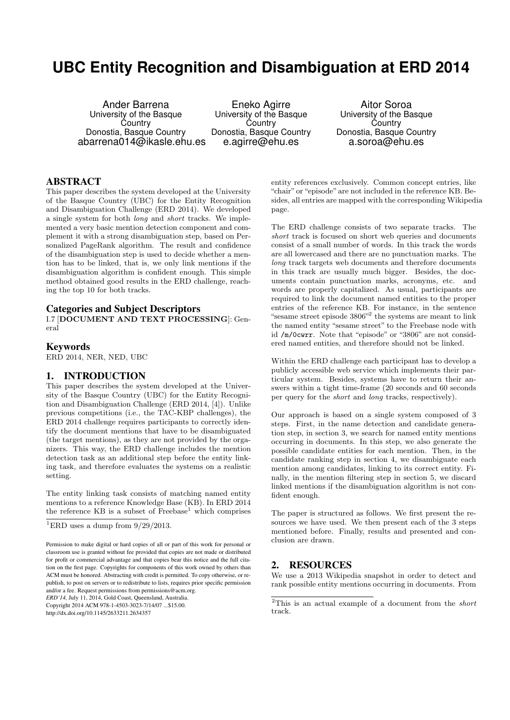# **UBC Entity Recognition and Disambiguation at ERD 2014**

Ander Barrena University of the Basque **Country** Donostia, Basque Country abarrena014@ikasle.ehu.es

Eneko Agirre University of the Basque **Country** Donostia, Basque Country e.agirre@ehu.es

Aitor Soroa University of the Basque **Country** Donostia, Basque Country a.soroa@ehu.es

#### ABSTRACT

This paper describes the system developed at the University of the Basque Country (UBC) for the Entity Recognition and Disambiguation Challenge (ERD 2014). We developed a single system for both long and short tracks. We implemented a very basic mention detection component and complement it with a strong disambiguation step, based on Personalized PageRank algorithm. The result and confidence of the disambiguation step is used to decide whether a mention has to be linked, that is, we only link mentions if the disambiguation algorithm is confident enough. This simple method obtained good results in the ERD challenge, reaching the top 10 for both tracks.

#### Categories and Subject Descriptors

I.7 [DOCUMENT AND TEXT PROCESSING]: General

#### Keywords

ERD 2014, NER, NED, UBC

# 1. INTRODUCTION

This paper describes the system developed at the University of the Basque Country (UBC) for the Entity Recognition and Disambiguation Challenge (ERD 2014, [4]). Unlike previous competitions (i.e., the TAC-KBP challenges), the ERD 2014 challenge requires participants to correctly identify the document mentions that have to be disambiguated (the target mentions), as they are not provided by the organizers. This way, the ERD challenge includes the mention detection task as an additional step before the entity linking task, and therefore evaluates the systems on a realistic setting.

The entity linking task consists of matching named entity mentions to a reference Knowledge Base (KB). In ERD 2014 the reference KB is a subset of  $Freebase<sup>1</sup>$  which comprises

*ERD'14,* July 11, 2014, Gold Coast, Queensland, Australia.

Copyright 2014 ACM 978-1-4503-3023-7/14/07 ...\$15.00.

http://dx.doi.org/10.1145/2633211.2634357

entity references exclusively. Common concept entries, like "chair" or "episode" are not included in the reference KB. Besides, all entries are mapped with the corresponding Wikipedia page.

The ERD challenge consists of two separate tracks. The short track is focused on short web queries and documents consist of a small number of words. In this track the words are all lowercased and there are no punctuation marks. The long track targets web documents and therefore documents in this track are usually much bigger. Besides, the documents contain punctuation marks, acronyms, etc. and words are properly capitalized. As usual, participants are required to link the document named entities to the proper entries of the reference KB. For instance, in the sentence "sesame street episode  $3806"$ <sup>2</sup> the systems are meant to link the named entity "sesame street" to the Freebase node with id /m/0cwrr. Note that "episode" or "3806" are not considered named entities, and therefore should not be linked.

Within the ERD challenge each participant has to develop a publicly accessible web service which implements their particular system. Besides, systems have to return their answers within a tight time-frame (20 seconds and 60 seconds per query for the short and long tracks, respectively).

Our approach is based on a single system composed of 3 steps. First, in the name detection and candidate generation step, in section 3, we search for named entity mentions occurring in documents. In this step, we also generate the possible candidate entities for each mention. Then, in the candidate ranking step in section 4, we disambiguate each mention among candidates, linking to its correct entity. Finally, in the mention filtering step in section 5, we discard linked mentions if the disambiguation algorithm is not confident enough.

The paper is structured as follows. We first present the resources we have used. We then present each of the 3 steps mentioned before. Finally, results and presented and conclusion are drawn.

# 2. RESOURCES

We use a 2013 Wikipedia snapshot in order to detect and rank possible entity mentions occurring in documents. From

<sup>&</sup>lt;sup>1</sup>ERD uses a dump from  $9/29/2013$ .

Permission to make digital or hard copies of all or part of this work for personal or classroom use is granted without fee provided that copies are not made or distributed for profit or commercial advantage and that copies bear this notice and the full citation on the first page. Copyrights for components of this work owned by others than ACM must be honored. Abstracting with credit is permitted. To copy otherwise, or republish, to post on servers or to redistribute to lists, requires prior specific permission and/or a fee. Request permissions from permissions@acm.org.

 $2$ This is an actual example of a document from the *short* track.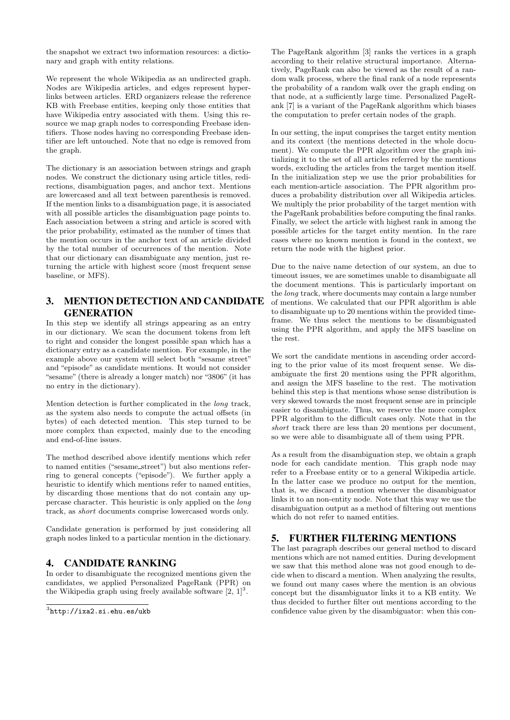the snapshot we extract two information resources: a dictionary and graph with entity relations.

We represent the whole Wikipedia as an undirected graph. Nodes are Wikipedia articles, and edges represent hyperlinks between articles. ERD organizers release the reference KB with Freebase entities, keeping only those entities that have Wikipedia entry associated with them. Using this resource we map graph nodes to corresponding Freebase identifiers. Those nodes having no corresponding Freebase identifier are left untouched. Note that no edge is removed from the graph.

The dictionary is an association between strings and graph nodes. We construct the dictionary using article titles, redirections, disambiguation pages, and anchor text. Mentions are lowercased and all text between parenthesis is removed. If the mention links to a disambiguation page, it is associated with all possible articles the disambiguation page points to. Each association between a string and article is scored with the prior probability, estimated as the number of times that the mention occurs in the anchor text of an article divided by the total number of occurrences of the mention. Note that our dictionary can disambiguate any mention, just returning the article with highest score (most frequent sense baseline, or MFS).

# 3. MENTION DETECTION AND CANDIDATE GENERATION

In this step we identify all strings appearing as an entry in our dictionary. We scan the document tokens from left to right and consider the longest possible span which has a dictionary entry as a candidate mention. For example, in the example above our system will select both "sesame street" and "episode" as candidate mentions. It would not consider "sesame" (there is already a longer match) nor "3806" (it has no entry in the dictionary).

Mention detection is further complicated in the long track, as the system also needs to compute the actual offsets (in bytes) of each detected mention. This step turned to be more complex than expected, mainly due to the encoding and end-of-line issues.

The method described above identify mentions which refer to named entities ("sesame street") but also mentions referring to general concepts ("episode"). We further apply a heuristic to identify which mentions refer to named entities, by discarding those mentions that do not contain any uppercase character. This heuristic is only applied on the long track, as short documents comprise lowercased words only.

Candidate generation is performed by just considering all graph nodes linked to a particular mention in the dictionary.

# 4. CANDIDATE RANKING

In order to disambiguate the recognized mentions given the candidates, we applied Personalized PageRank (PPR) on the Wikipedia graph using freely available software  $[2, 1]^3$ .

The PageRank algorithm [3] ranks the vertices in a graph according to their relative structural importance. Alternatively, PageRank can also be viewed as the result of a random walk process, where the final rank of a node represents the probability of a random walk over the graph ending on that node, at a sufficiently large time. Personalized PageRank [7] is a variant of the PageRank algorithm which biases the computation to prefer certain nodes of the graph.

In our setting, the input comprises the target entity mention and its context (the mentions detected in the whole document). We compute the PPR algorithm over the graph initializing it to the set of all articles referred by the mentions words, excluding the articles from the target mention itself. In the initialization step we use the prior probabilities for each mention-article association. The PPR algorithm produces a probability distribution over all Wikipedia articles. We multiply the prior probability of the target mention with the PageRank probabilities before computing the final ranks. Finally, we select the article with highest rank in among the possible articles for the target entity mention. In the rare cases where no known mention is found in the context, we return the node with the highest prior.

Due to the naive name detection of our system, an due to timeout issues, we are sometimes unable to disambiguate all the document mentions. This is particularly important on the long track, where documents may contain a large number of mentions. We calculated that our PPR algorithm is able to disambiguate up to 20 mentions within the provided timeframe. We thus select the mentions to be disambiguated using the PPR algorithm, and apply the MFS baseline on the rest.

We sort the candidate mentions in ascending order according to the prior value of its most frequent sense. We disambiguate the first 20 mentions using the PPR algorithm, and assign the MFS baseline to the rest. The motivation behind this step is that mentions whose sense distribution is very skewed towards the most frequent sense are in principle easier to disambiguate. Thus, we reserve the more complex PPR algorithm to the difficult cases only. Note that in the short track there are less than 20 mentions per document. so we were able to disambiguate all of them using PPR.

As a result from the disambiguation step, we obtain a graph node for each candidate mention. This graph node may refer to a Freebase entity or to a general Wikipedia article. In the latter case we produce no output for the mention, that is, we discard a mention whenever the disambiguator links it to an non-entity node. Note that this way we use the disambiguation output as a method of filtering out mentions which do not refer to named entities.

# 5. FURTHER FILTERING MENTIONS

The last paragraph describes our general method to discard mentions which are not named entities. During development we saw that this method alone was not good enough to decide when to discard a mention. When analyzing the results, we found out many cases where the mention is an obvious concept but the disambiguator links it to a KB entity. We thus decided to further filter out mentions according to the confidence value given by the disambiguator: when this con-

 $^3$ http://ixa $2.\,\mathrm{si.ehu.}$ es/ukb